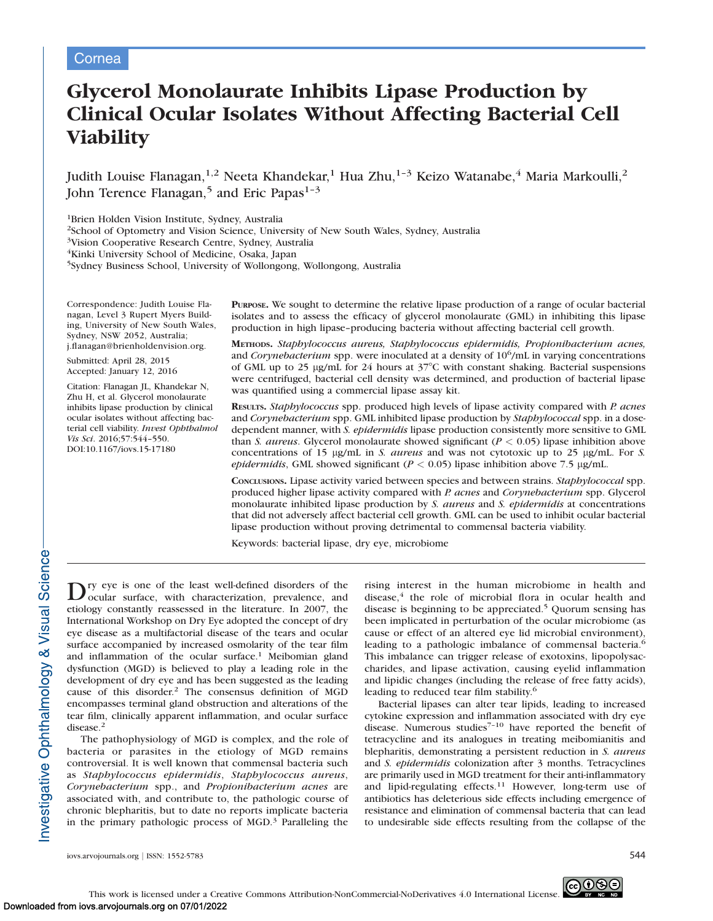# Cornea

# Glycerol Monolaurate Inhibits Lipase Production by Clinical Ocular Isolates Without Affecting Bacterial Cell **Viability**

Judith Louise Flanagan, $^{1,2}$  Neeta Khandekar, $^1$  Hua Zhu, $^{1-3}$  Keizo Watanabe, $^4$  Maria Markoulli, $^2$ John Terence Flanagan,<sup>5</sup> and Eric Papas<sup>1-3</sup>

1Brien Holden Vision Institute, Sydney, Australia

2School of Optometry and Vision Science, University of New South Wales, Sydney, Australia

3Vision Cooperative Research Centre, Sydney, Australia

4Kinki University School of Medicine, Osaka, Japan

5Sydney Business School, University of Wollongong, Wollongong, Australia

Correspondence: Judith Louise Flanagan, Level 3 Rupert Myers Building, University of New South Wales, Sydney, NSW 2052, Australia; j.flanagan@brienholdenvision.org.

Submitted: April 28, 2015 Accepted: January 12, 2016

Citation: Flanagan JL, Khandekar N, Zhu H, et al. Glycerol monolaurate inhibits lipase production by clinical ocular isolates without affecting bacterial cell viability. Invest Ophthalmol Vis Sci. 2016;57:544–550. DOI:10.1167/iovs.15-17180

PURPOSE. We sought to determine the relative lipase production of a range of ocular bacterial isolates and to assess the efficacy of glycerol monolaurate (GML) in inhibiting this lipase production in high lipase–producing bacteria without affecting bacterial cell growth.

METHODS. Staphylococcus aureus, Staphylococcus epidermidis, Propionibacterium acnes, and *Corynebacterium* spp. were inoculated at a density of  $10^6/\text{mL}$  in varying concentrations of GML up to 25  $\mu$ g/mL for 24 hours at 37 $\degree$ C with constant shaking. Bacterial suspensions were centrifuged, bacterial cell density was determined, and production of bacterial lipase was quantified using a commercial lipase assay kit.

RESULTS. Staphylococcus spp. produced high levels of lipase activity compared with P. acnes and Corynebacterium spp. GML inhibited lipase production by Staphylococcal spp. in a dosedependent manner, with S. epidermidis lipase production consistently more sensitive to GML than S. aureus. Glycerol monolaurate showed significant ( $P < 0.05$ ) lipase inhibition above concentrations of 15  $\mu$ g/mL in S. *aureus* and was not cytotoxic up to 25  $\mu$ g/mL. For S. epidermidis, GML showed significant ( $P < 0.05$ ) lipase inhibition above 7.5 µg/mL.

CONCLUSIONS. Lipase activity varied between species and between strains. Staphylococcal spp. produced higher lipase activity compared with P. acnes and Corynebacterium spp. Glycerol monolaurate inhibited lipase production by S. aureus and S. epidermidis at concentrations that did not adversely affect bacterial cell growth. GML can be used to inhibit ocular bacterial lipase production without proving detrimental to commensal bacteria viability.

Keywords: bacterial lipase, dry eye, microbiome

Dry eye is one of the least well-defined disorders of the ocular surface, with characterization, prevalence, and etiology constantly reassessed in the literature. In 2007, the International Workshop on Dry Eye adopted the concept of dry eye disease as a multifactorial disease of the tears and ocular surface accompanied by increased osmolarity of the tear film and inflammation of the ocular surface.<sup>1</sup> Meibomian gland dysfunction (MGD) is believed to play a leading role in the development of dry eye and has been suggested as the leading cause of this disorder.<sup>2</sup> The consensus definition of MGD encompasses terminal gland obstruction and alterations of the tear film, clinically apparent inflammation, and ocular surface disease.<sup>2</sup>

The pathophysiology of MGD is complex, and the role of bacteria or parasites in the etiology of MGD remains controversial. It is well known that commensal bacteria such as Staphylococcus epidermidis, Staphylococcus aureus, Corynebacterium spp., and Propionibacterium acnes are associated with, and contribute to, the pathologic course of chronic blepharitis, but to date no reports implicate bacteria in the primary pathologic process of  $MGD<sup>3</sup>$  Paralleling the rising interest in the human microbiome in health and disease, $4$  the role of microbial flora in ocular health and disease is beginning to be appreciated.<sup>5</sup> Quorum sensing has been implicated in perturbation of the ocular microbiome (as cause or effect of an altered eye lid microbial environment), leading to a pathologic imbalance of commensal bacteria.<sup>6</sup> This imbalance can trigger release of exotoxins, lipopolysaccharides, and lipase activation, causing eyelid inflammation and lipidic changes (including the release of free fatty acids), leading to reduced tear film stability.<sup>6</sup>

Bacterial lipases can alter tear lipids, leading to increased cytokine expression and inflammation associated with dry eye disease. Numerous studies<sup> $7-10$ </sup> have reported the benefit of tetracycline and its analogues in treating meibomianitis and blepharitis, demonstrating a persistent reduction in S. aureus and S. epidermidis colonization after 3 months. Tetracyclines are primarily used in MGD treatment for their anti-inflammatory and lipid-regulating effects.<sup>11</sup> However, long-term use of antibiotics has deleterious side effects including emergence of resistance and elimination of commensal bacteria that can lead to undesirable side effects resulting from the collapse of the

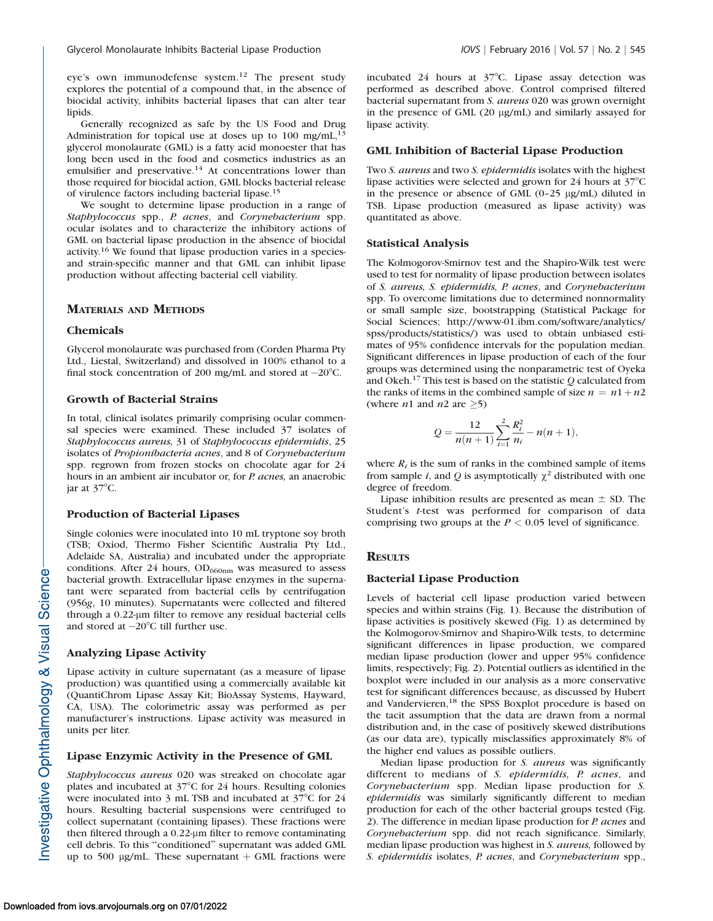eye's own immunodefense system.<sup>12</sup> The present study explores the potential of a compound that, in the absence of biocidal activity, inhibits bacterial lipases that can alter tear lipids.

Generally recognized as safe by the US Food and Drug Administration for topical use at doses up to  $100 \text{ mg/mL}$ ,<sup>1</sup> glycerol monolaurate (GML) is a fatty acid monoester that has long been used in the food and cosmetics industries as an emulsifier and preservative.<sup>14</sup> At concentrations lower than those required for biocidal action, GML blocks bacterial release of virulence factors including bacterial lipase.<sup>15</sup>

We sought to determine lipase production in a range of Staphylococcus spp., P. acnes, and Corynebacterium spp. ocular isolates and to characterize the inhibitory actions of GML on bacterial lipase production in the absence of biocidal activity.16 We found that lipase production varies in a speciesand strain-specific manner and that GML can inhibit lipase production without affecting bacterial cell viability.

## MATERIALS AND METHODS

#### Chemicals

Glycerol monolaurate was purchased from (Corden Pharma Pty Ltd., Liestal, Switzerland) and dissolved in 100% ethanol to a final stock concentration of 200 mg/mL and stored at  $-20^{\circ}$ C.

#### Growth of Bacterial Strains

In total, clinical isolates primarily comprising ocular commensal species were examined. These included 37 isolates of Staphylococcus aureus, 31 of Staphylococcus epidermidis, 25 isolates of Propionibacteria acnes, and 8 of Corynebacterium spp. regrown from frozen stocks on chocolate agar for 24 hours in an ambient air incubator or, for P. acnes, an anaerobic jar at  $37^{\circ}$ C.

#### Production of Bacterial Lipases

Single colonies were inoculated into 10 mL tryptone soy broth (TSB; Oxiod, Thermo Fisher Scientific Australia Pty Ltd., Adelaide SA, Australia) and incubated under the appropriate conditions. After 24 hours,  $OD_{660nm}$  was measured to assess bacterial growth. Extracellular lipase enzymes in the supernatant were separated from bacterial cells by centrifugation (956g, 10 minutes). Supernatants were collected and filtered through a 0.22-um filter to remove any residual bacterial cells and stored at  $-20^{\circ}$ C till further use.

#### Analyzing Lipase Activity

Lipase activity in culture supernatant (as a measure of lipase production) was quantified using a commercially available kit (QuantiChrom Lipase Assay Kit; BioAssay Systems, Hayward, CA, USA). The colorimetric assay was performed as per manufacturer's instructions. Lipase activity was measured in units per liter.

#### Lipase Enzymic Activity in the Presence of GML

Staphylococcus aureus 020 was streaked on chocolate agar plates and incubated at 37°C for 24 hours. Resulting colonies were inoculated into 3 mL TSB and incubated at  $37^{\circ}$ C for 24 hours. Resulting bacterial suspensions were centrifuged to collect supernatant (containing lipases). These fractions were then filtered through a  $0.22$ -µm filter to remove contaminating cell debris. To this ''conditioned'' supernatant was added GML up to 500 µg/mL. These supernatant  $+$  GML fractions were

incubated 24 hours at 37°C. Lipase assay detection was performed as described above. Control comprised filtered bacterial supernatant from S. aureus 020 was grown overnight in the presence of GML (20 µg/mL) and similarly assayed for lipase activity.

#### GML Inhibition of Bacterial Lipase Production

Two S. aureus and two S. epidermidis isolates with the highest lipase activities were selected and grown for 24 hours at  $37^{\circ}$ C in the presence or absence of GML  $(0-25 \mu g/mL)$  diluted in TSB. Lipase production (measured as lipase activity) was quantitated as above.

#### Statistical Analysis

The Kolmogorov-Smirnov test and the Shapiro-Wilk test were used to test for normality of lipase production between isolates of S. aureus, S. epidermidis, P. acnes, and Corynebacterium spp. To overcome limitations due to determined nonnormality or small sample size, bootstrapping (Statistical Package for Social Sciences; http://www-01.ibm.com/software/analytics/ spss/products/statistics/) was used to obtain unbiased estimates of 95% confidence intervals for the population median. Significant differences in lipase production of each of the four groups was determined using the nonparametric test of Oyeka and Okeh.17 This test is based on the statistic Q calculated from the ranks of items in the combined sample of size  $n = n1 + n2$ (where *n*1 and *n*2 are  $\geq$ 5)

$$
Q = \frac{12}{n(n+1)} \sum_{i=1}^{2} \frac{R_i^2}{n_i} - n(n+1),
$$

where  $R_i$  is the sum of ranks in the combined sample of items from sample *i*, and *Q* is asymptotically  $\chi^2$  distributed with one degree of freedom.

Lipase inhibition results are presented as mean  $\pm$  SD. The Student's t-test was performed for comparison of data comprising two groups at the  $P < 0.05$  level of significance.

### **RESULTS**

#### Bacterial Lipase Production

Levels of bacterial cell lipase production varied between species and within strains (Fig. 1). Because the distribution of lipase activities is positively skewed (Fig. 1) as determined by the Kolmogorov-Smirnov and Shapiro-Wilk tests, to determine significant differences in lipase production, we compared median lipase production (lower and upper 95% confidence limits, respectively; Fig. 2). Potential outliers as identified in the boxplot were included in our analysis as a more conservative test for significant differences because, as discussed by Hubert and Vandervieren,<sup>18</sup> the SPSS Boxplot procedure is based on the tacit assumption that the data are drawn from a normal distribution and, in the case of positively skewed distributions (as our data are), typically misclassifies approximately 8% of the higher end values as possible outliers.

Median lipase production for S. aureus was significantly different to medians of S. epidermidis, P. acnes, and Corynebacterium spp. Median lipase production for S. epidermidis was similarly significantly different to median production for each of the other bacterial groups tested (Fig. 2). The difference in median lipase production for P. acnes and Corynebacterium spp. did not reach significance. Similarly, median lipase production was highest in S. aureus, followed by S. epidermidis isolates, P. acnes, and Corynebacterium spp.,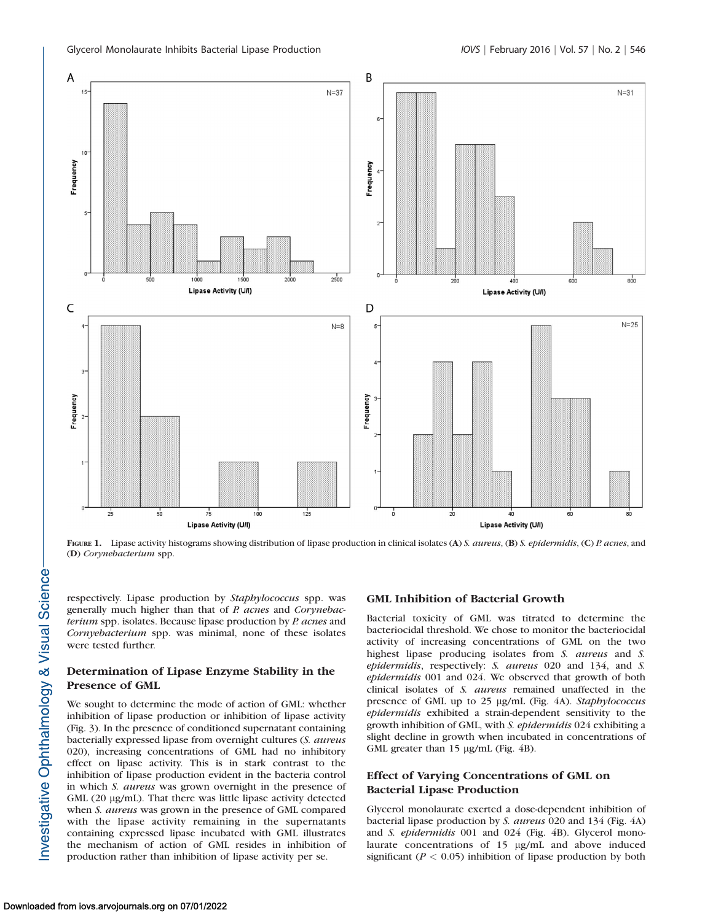

FIGURE 1. Lipase activity histograms showing distribution of lipase production in clinical isolates (A) S. aureus, (B) S. epidermidis, (C) P. acnes, and (D) Corynebacterium spp.

respectively. Lipase production by Staphylococcus spp. was generally much higher than that of P. acnes and Corynebacterium spp. isolates. Because lipase production by P. acnes and Cornyebacterium spp. was minimal, none of these isolates were tested further.

## Determination of Lipase Enzyme Stability in the Presence of GML

We sought to determine the mode of action of GML: whether inhibition of lipase production or inhibition of lipase activity (Fig. 3). In the presence of conditioned supernatant containing bacterially expressed lipase from overnight cultures (S. aureus 020), increasing concentrations of GML had no inhibitory effect on lipase activity. This is in stark contrast to the inhibition of lipase production evident in the bacteria control in which S. aureus was grown overnight in the presence of  $GML$  (20  $\mu$ g/mL). That there was little lipase activity detected when *S. aureus* was grown in the presence of GML compared with the lipase activity remaining in the supernatants containing expressed lipase incubated with GML illustrates the mechanism of action of GML resides in inhibition of production rather than inhibition of lipase activity per se.

## GML Inhibition of Bacterial Growth

Bacterial toxicity of GML was titrated to determine the bacteriocidal threshold. We chose to monitor the bacteriocidal activity of increasing concentrations of GML on the two highest lipase producing isolates from S. aureus and S. epidermidis, respectively: S. aureus 020 and 134, and S. epidermidis 001 and 024. We observed that growth of both clinical isolates of S. aureus remained unaffected in the presence of GML up to 25 µg/mL (Fig. 4A). Staphylococcus epidermidis exhibited a strain-dependent sensitivity to the growth inhibition of GML, with S. epidermidis 024 exhibiting a slight decline in growth when incubated in concentrations of GML greater than 15 µg/mL (Fig. 4B).

## Effect of Varying Concentrations of GML on Bacterial Lipase Production

Glycerol monolaurate exerted a dose-dependent inhibition of bacterial lipase production by S. aureus 020 and 134 (Fig. 4A) and S. epidermidis 001 and 024 (Fig. 4B). Glycerol monolaurate concentrations of 15 µg/mL and above induced significant ( $P < 0.05$ ) inhibition of lipase production by both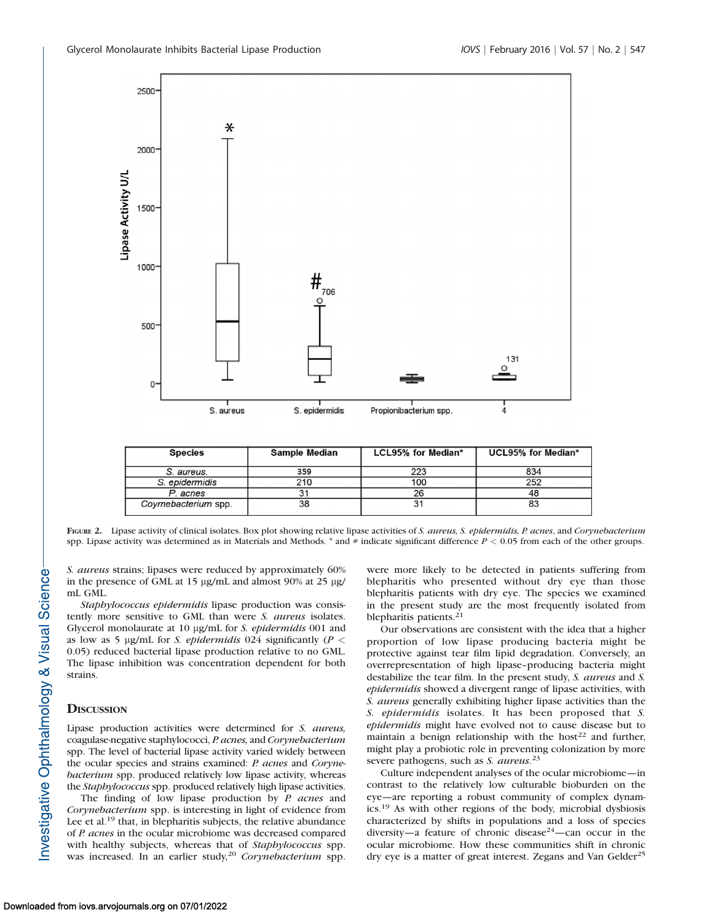

| <b>Species</b>      | Sample Median | LCL95% for Median* | UCL95% for Median* |
|---------------------|---------------|--------------------|--------------------|
| S. aureus.          | 359           | 223                | 834                |
| S. epidermidis      | 210           | 100                | 252                |
| P. acnes            |               | 26                 | 48                 |
| Coymebacterium spp. | 38            |                    | 83                 |

FIGURE 2. Lipase activity of clinical isolates. Box plot showing relative lipase activities of S. aureus, S. epidermidis, P. acnes, and Corynebacterium spp. Lipase activity was determined as in Materials and Methods. \* and # indicate significant difference  $P < 0.05$  from each of the other groups.

S. aureus strains; lipases were reduced by approximately 60% in the presence of GML at 15  $\mu$ g/mL and almost 90% at 25  $\mu$ g/ mL GML.

Staphylococcus epidermidis lipase production was consistently more sensitive to GML than were *S. aureus* isolates. Glycerol monolaurate at 10 µg/mL for S. epidermidis 001 and as low as 5 µg/mL for S. epidermidis 024 significantly ( $P <$ 0.05) reduced bacterial lipase production relative to no GML. The lipase inhibition was concentration dependent for both strains.

## **DISCUSSION**

Lipase production activities were determined for S. aureus, coagulase-negative staphylococci, P. acnes, and Corynebacterium spp. The level of bacterial lipase activity varied widely between the ocular species and strains examined: P. acnes and Corynebacterium spp. produced relatively low lipase activity, whereas the Staphylococcus spp. produced relatively high lipase activities.

The finding of low lipase production by  $P$ . acnes and Corynebacterium spp. is interesting in light of evidence from Lee et al.<sup>19</sup> that, in blepharitis subjects, the relative abundance of P. acnes in the ocular microbiome was decreased compared with healthy subjects, whereas that of Staphylococcus spp. was increased. In an earlier study,<sup>20</sup> Corynebacterium spp. were more likely to be detected in patients suffering from blepharitis who presented without dry eye than those blepharitis patients with dry eye. The species we examined in the present study are the most frequently isolated from blepharitis patients.<sup>21</sup>

Our observations are consistent with the idea that a higher proportion of low lipase producing bacteria might be protective against tear film lipid degradation. Conversely, an overrepresentation of high lipase–producing bacteria might destabilize the tear film. In the present study, S. aureus and S. epidermidis showed a divergent range of lipase activities, with S. aureus generally exhibiting higher lipase activities than the S. epidermidis isolates. It has been proposed that S. epidermidis might have evolved not to cause disease but to maintain a benign relationship with the host<sup>22</sup> and further, might play a probiotic role in preventing colonization by more severe pathogens, such as *S. aureus*.<sup>23</sup>

Culture independent analyses of the ocular microbiome—in contrast to the relatively low culturable bioburden on the eye—are reporting a robust community of complex dynamics.19 As with other regions of the body, microbial dysbiosis characterized by shifts in populations and a loss of species diversity—a feature of chronic disease<sup>24</sup>—can occur in the ocular microbiome. How these communities shift in chronic dry eye is a matter of great interest. Zegans and Van Gelder<sup>25</sup>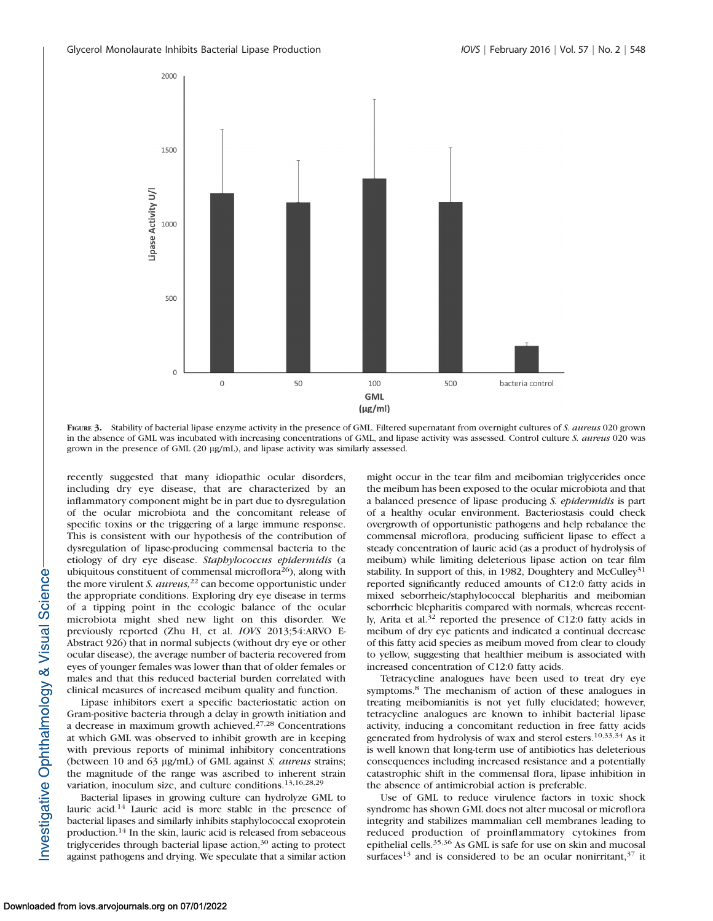

FIGURE 3. Stability of bacterial lipase enzyme activity in the presence of GML. Filtered supernatant from overnight cultures of S. aureus 020 grown in the absence of GML was incubated with increasing concentrations of GML, and lipase activity was assessed. Control culture S. aureus 020 was grown in the presence of GML (20 µg/mL), and lipase activity was similarly assessed.

recently suggested that many idiopathic ocular disorders, including dry eye disease, that are characterized by an inflammatory component might be in part due to dysregulation of the ocular microbiota and the concomitant release of specific toxins or the triggering of a large immune response. This is consistent with our hypothesis of the contribution of dysregulation of lipase-producing commensal bacteria to the etiology of dry eye disease. Staphylococcus epidermidis (a ubiquitous constituent of commensal microflora<sup>26</sup>), along with the more virulent S.  $aureus$ ,  $^{22}$  can become opportunistic under the appropriate conditions. Exploring dry eye disease in terms of a tipping point in the ecologic balance of the ocular microbiota might shed new light on this disorder. We previously reported (Zhu H, et al. IOVS 2013;54:ARVO E-Abstract 926) that in normal subjects (without dry eye or other ocular disease), the average number of bacteria recovered from eyes of younger females was lower than that of older females or males and that this reduced bacterial burden correlated with clinical measures of increased meibum quality and function.

Lipase inhibitors exert a specific bacteriostatic action on Gram-positive bacteria through a delay in growth initiation and a decrease in maximum growth achieved.27,28 Concentrations at which GML was observed to inhibit growth are in keeping with previous reports of minimal inhibitory concentrations (between 10 and 63 µg/mL) of GML against S. aureus strains; the magnitude of the range was ascribed to inherent strain variation, inoculum size, and culture conditions.13,16,28,29

Bacterial lipases in growing culture can hydrolyze GML to lauric acid.14 Lauric acid is more stable in the presence of bacterial lipases and similarly inhibits staphylococcal exoprotein production.14 In the skin, lauric acid is released from sebaceous triglycerides through bacterial lipase action,<sup>30</sup> acting to protect against pathogens and drying. We speculate that a similar action might occur in the tear film and meibomian triglycerides once the meibum has been exposed to the ocular microbiota and that a balanced presence of lipase producing S. epidermidis is part of a healthy ocular environment. Bacteriostasis could check overgrowth of opportunistic pathogens and help rebalance the commensal microflora, producing sufficient lipase to effect a steady concentration of lauric acid (as a product of hydrolysis of meibum) while limiting deleterious lipase action on tear film stability. In support of this, in 1982, Doughtery and McCulley<sup>31</sup> reported significantly reduced amounts of C12:0 fatty acids in mixed seborrheic/staphylococcal blepharitis and meibomian seborrheic blepharitis compared with normals, whereas recently, Arita et al. $32$  reported the presence of C12:0 fatty acids in meibum of dry eye patients and indicated a continual decrease of this fatty acid species as meibum moved from clear to cloudy to yellow, suggesting that healthier meibum is associated with increased concentration of C12:0 fatty acids.

Tetracycline analogues have been used to treat dry eye symptoms.<sup>8</sup> The mechanism of action of these analogues in treating meibomianitis is not yet fully elucidated; however, tetracycline analogues are known to inhibit bacterial lipase activity, inducing a concomitant reduction in free fatty acids generated from hydrolysis of wax and sterol esters.10,33,34 As it is well known that long-term use of antibiotics has deleterious consequences including increased resistance and a potentially catastrophic shift in the commensal flora, lipase inhibition in the absence of antimicrobial action is preferable.

Use of GML to reduce virulence factors in toxic shock syndrome has shown GML does not alter mucosal or microflora integrity and stabilizes mammalian cell membranes leading to reduced production of proinflammatory cytokines from epithelial cells.35,36 As GML is safe for use on skin and mucosal surfaces<sup>13</sup> and is considered to be an ocular nonirritant,  $37$  it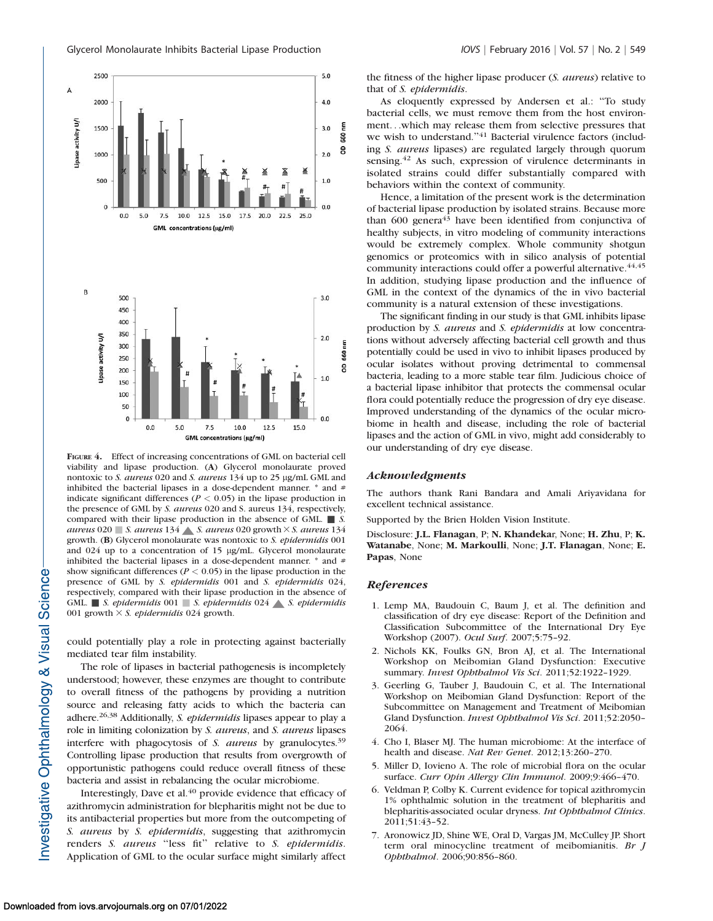

FIGURE 4. Effect of increasing concentrations of GML on bacterial cell viability and lipase production. (A) Glycerol monolaurate proved nontoxic to S. aureus 020 and S. aureus 134 up to 25 µg/mL GML and inhibited the bacterial lipases in a dose-dependent manner.  $*$  and  $#$ indicate significant differences ( $P < 0.05$ ) in the lipase production in the presence of GML by S. aureus 020 and S. aureus 134, respectively, compared with their lipase production in the absence of GML.  $\blacksquare$  S. aureus 020  $\blacksquare$  S. aureus 134  $\blacktriangle$  S. aureus 020 growth  $\times$  S. aureus 134 growth. (B) Glycerol monolaurate was nontoxic to S. epidermidis 001 and 024 up to a concentration of 15 µg/mL. Glycerol monolaurate inhibited the bacterial lipases in a dose-dependent manner. \* and # show significant differences ( $P < 0.05$ ) in the lipase production in the presence of GML by S. epidermidis 001 and S. epidermidis 024, respectively, compared with their lipase production in the absence of GML.  $\blacksquare$  S. epidermidis 001  $\blacksquare$  S. epidermidis 024  $\blacktriangle$  S. epidermidis 001 growth  $\times$  *S. epidermidis* 024 growth.

could potentially play a role in protecting against bacterially mediated tear film instability.

The role of lipases in bacterial pathogenesis is incompletely understood; however, these enzymes are thought to contribute to overall fitness of the pathogens by providing a nutrition source and releasing fatty acids to which the bacteria can adhere.<sup>26,38</sup> Additionally, S. *epidermidis* lipases appear to play a role in limiting colonization by S. aureus, and S. aureus lipases interfere with phagocytosis of S. aureus by granulocytes.<sup>39</sup> Controlling lipase production that results from overgrowth of opportunistic pathogens could reduce overall fitness of these bacteria and assist in rebalancing the ocular microbiome.

Interestingly, Dave et al.<sup>40</sup> provide evidence that efficacy of azithromycin administration for blepharitis might not be due to its antibacterial properties but more from the outcompeting of S. aureus by S. epidermidis, suggesting that azithromycin renders S. aureus "less fit" relative to S. epidermidis. Application of GML to the ocular surface might similarly affect

the fitness of the higher lipase producer (S. aureus) relative to that of S. epidermidis.

As eloquently expressed by Andersen et al.: ''To study bacterial cells, we must remove them from the host environment. . .which may release them from selective pressures that we wish to understand."<sup>41</sup> Bacterial virulence factors (including S. aureus lipases) are regulated largely through quorum sensing.<sup>42</sup> As such, expression of virulence determinants in isolated strains could differ substantially compared with behaviors within the context of community.

Hence, a limitation of the present work is the determination of bacterial lipase production by isolated strains. Because more than  $600$  genera<sup>43</sup> have been identified from conjunctiva of healthy subjects, in vitro modeling of community interactions would be extremely complex. Whole community shotgun genomics or proteomics with in silico analysis of potential community interactions could offer a powerful alternative.<sup>44,45</sup> In addition, studying lipase production and the influence of GML in the context of the dynamics of the in vivo bacterial community is a natural extension of these investigations.

The significant finding in our study is that GML inhibits lipase production by S. aureus and S. epidermidis at low concentrations without adversely affecting bacterial cell growth and thus potentially could be used in vivo to inhibit lipases produced by ocular isolates without proving detrimental to commensal bacteria, leading to a more stable tear film. Judicious choice of a bacterial lipase inhibitor that protects the commensal ocular flora could potentially reduce the progression of dry eye disease. Improved understanding of the dynamics of the ocular microbiome in health and disease, including the role of bacterial lipases and the action of GML in vivo, might add considerably to our understanding of dry eye disease.

#### Acknowledgments

The authors thank Rani Bandara and Amali Ariyavidana for excellent technical assistance.

Supported by the Brien Holden Vision Institute.

Disclosure: J.L. Flanagan, P; N. Khandekar, None; H. Zhu, P; K. Watanabe, None; M. Markoulli, None; J.T. Flanagan, None; E. Papas, None

#### References

- 1. Lemp MA, Baudouin C, Baum J, et al. The definition and classification of dry eye disease: Report of the Definition and Classification Subcommittee of the International Dry Eye Workshop (2007). Ocul Surf. 2007;5:75–92.
- 2. Nichols KK, Foulks GN, Bron AJ, et al. The International Workshop on Meibomian Gland Dysfunction: Executive summary. Invest Ophthalmol Vis Sci. 2011;52:1922–1929.
- 3. Geerling G, Tauber J, Baudouin C, et al. The International Workshop on Meibomian Gland Dysfunction: Report of the Subcommittee on Management and Treatment of Meibomian Gland Dysfunction. Invest Ophthalmol Vis Sci. 2011;52:2050– 2064.
- 4. Cho I, Blaser MJ. The human microbiome: At the interface of health and disease. Nat Rev Genet. 2012;13:260–270.
- 5. Miller D, Iovieno A. The role of microbial flora on the ocular surface. Curr Opin Allergy Clin Immunol. 2009;9:466-470.
- 6. Veldman P, Colby K. Current evidence for topical azithromycin 1% ophthalmic solution in the treatment of blepharitis and blepharitis-associated ocular dryness. Int Ophthalmol Clinics. 2011;51:43–52.
- 7. Aronowicz JD, Shine WE, Oral D, Vargas JM, McCulley JP. Short term oral minocycline treatment of meibomianitis. Br J Ophthalmol. 2006;90:856–860.